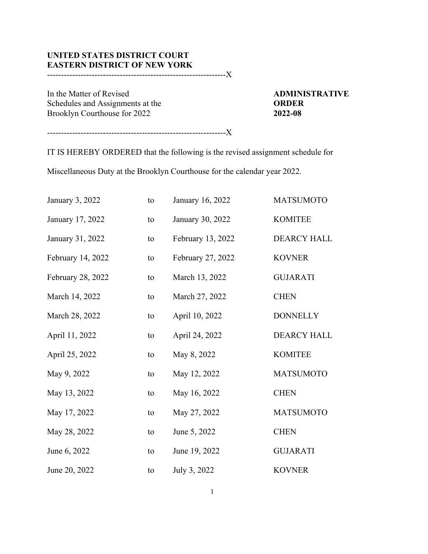## **UNITED STATES DISTRICT COURT EASTERN DISTRICT OF NEW YORK**

----------------------------------------------------------------X

In the Matter of Revised **ADMINISTRATIVE** Schedules and Assignments at the **ORDER**<br>Brooklyn Courthouse for 2022 Brooklyn Courthouse for 2022

----------------------------------------------------------------X

IT IS HEREBY ORDERED that the following is the revised assignment schedule for

Miscellaneous Duty at the Brooklyn Courthouse for the calendar year 2022.

| January 3, 2022   | to | January 16, 2022  | <b>MATSUMOTO</b>   |
|-------------------|----|-------------------|--------------------|
| January 17, 2022  | to | January 30, 2022  | <b>KOMITEE</b>     |
| January 31, 2022  | to | February 13, 2022 | <b>DEARCY HALL</b> |
| February 14, 2022 | to | February 27, 2022 | <b>KOVNER</b>      |
| February 28, 2022 | to | March 13, 2022    | <b>GUJARATI</b>    |
| March 14, 2022    | to | March 27, 2022    | <b>CHEN</b>        |
| March 28, 2022    | to | April 10, 2022    | <b>DONNELLY</b>    |
| April 11, 2022    | to | April 24, 2022    | <b>DEARCY HALL</b> |
| April 25, 2022    | to | May 8, 2022       | <b>KOMITEE</b>     |
| May 9, 2022       | to | May 12, 2022      | <b>MATSUMOTO</b>   |
| May 13, 2022      | to | May 16, 2022      | <b>CHEN</b>        |
| May 17, 2022      | to | May 27, 2022      | <b>MATSUMOTO</b>   |
| May 28, 2022      | to | June 5, 2022      | <b>CHEN</b>        |
| June 6, 2022      | to | June 19, 2022     | <b>GUJARATI</b>    |
| June 20, 2022     | to | July 3, 2022      | <b>KOVNER</b>      |